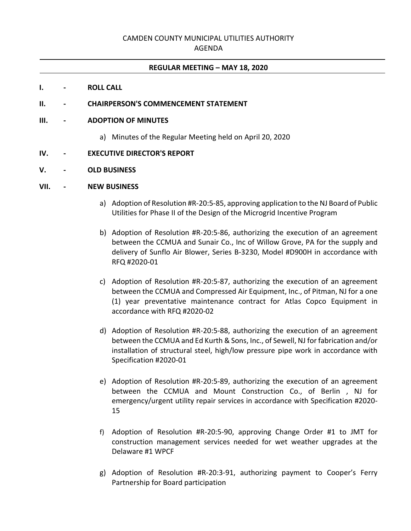## CAMDEN COUNTY MUNICIPAL UTILITIES AUTHORITY

#### AGENDA

#### **REGULAR MEETING – MAY 18, 2020**

#### **I. - ROLL CALL**

### **II. - CHAIRPERSON'S COMMENCEMENT STATEMENT**

#### **III. - ADOPTION OF MINUTES**

a) Minutes of the Regular Meeting held on April 20, 2020

#### **IV. - EXECUTIVE DIRECTOR'S REPORT**

#### **V. - OLD BUSINESS**

#### **VII. - NEW BUSINESS**

- a) Adoption of Resolution #R-20:5-85, approving application to the NJ Board of Public Utilities for Phase II of the Design of the Microgrid Incentive Program
- b) Adoption of Resolution #R-20:5-86, authorizing the execution of an agreement between the CCMUA and Sunair Co., Inc of Willow Grove, PA for the supply and delivery of Sunflo Air Blower, Series B-3230, Model #D900H in accordance with RFQ #2020-01
- c) Adoption of Resolution #R-20:5-87, authorizing the execution of an agreement between the CCMUA and Compressed Air Equipment, Inc., of Pitman, NJ for a one (1) year preventative maintenance contract for Atlas Copco Equipment in accordance with RFQ #2020-02
- d) Adoption of Resolution #R-20:5-88, authorizing the execution of an agreement between the CCMUA and Ed Kurth & Sons, Inc., of Sewell, NJ for fabrication and/or installation of structural steel, high/low pressure pipe work in accordance with Specification #2020-01
- e) Adoption of Resolution #R-20:5-89, authorizing the execution of an agreement between the CCMUA and Mount Construction Co., of Berlin , NJ for emergency/urgent utility repair services in accordance with Specification #2020- 15
- f) Adoption of Resolution #R-20:5-90, approving Change Order #1 to JMT for construction management services needed for wet weather upgrades at the Delaware #1 WPCF
- g) Adoption of Resolution #R-20:3-91, authorizing payment to Cooper's Ferry Partnership for Board participation